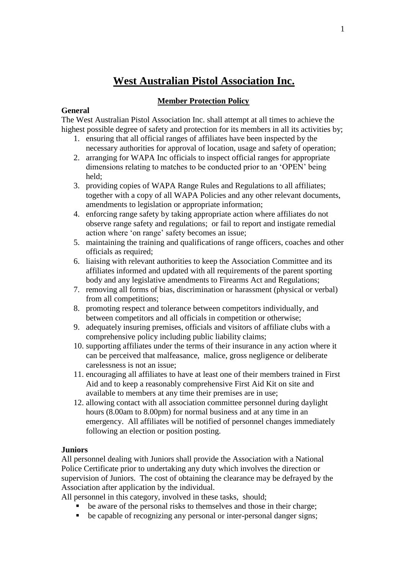# **West Australian Pistol Association Inc.**

## **Member Protection Policy**

#### **General**

The West Australian Pistol Association Inc. shall attempt at all times to achieve the highest possible degree of safety and protection for its members in all its activities by;

- 1. ensuring that all official ranges of affiliates have been inspected by the necessary authorities for approval of location, usage and safety of operation;
- 2. arranging for WAPA Inc officials to inspect official ranges for appropriate dimensions relating to matches to be conducted prior to an 'OPEN' being held;
- 3. providing copies of WAPA Range Rules and Regulations to all affiliates; together with a copy of all WAPA Policies and any other relevant documents, amendments to legislation or appropriate information;
- 4. enforcing range safety by taking appropriate action where affiliates do not observe range safety and regulations; or fail to report and instigate remedial action where 'on range' safety becomes an issue;
- 5. maintaining the training and qualifications of range officers, coaches and other officials as required;
- 6. liaising with relevant authorities to keep the Association Committee and its affiliates informed and updated with all requirements of the parent sporting body and any legislative amendments to Firearms Act and Regulations;
- 7. removing all forms of bias, discrimination or harassment (physical or verbal) from all competitions;
- 8. promoting respect and tolerance between competitors individually, and between competitors and all officials in competition or otherwise;
- 9. adequately insuring premises, officials and visitors of affiliate clubs with a comprehensive policy including public liability claims;
- 10. supporting affiliates under the terms of their insurance in any action where it can be perceived that malfeasance, malice, gross negligence or deliberate carelessness is not an issue;
- 11. encouraging all affiliates to have at least one of their members trained in First Aid and to keep a reasonably comprehensive First Aid Kit on site and available to members at any time their premises are in use;
- 12. allowing contact with all association committee personnel during daylight hours (8.00am to 8.00pm) for normal business and at any time in an emergency. All affiliates will be notified of personnel changes immediately following an election or position posting.

## **Juniors**

All personnel dealing with Juniors shall provide the Association with a National Police Certificate prior to undertaking any duty which involves the direction or supervision of Juniors. The cost of obtaining the clearance may be defrayed by the Association after application by the individual.

All personnel in this category, involved in these tasks, should;

- be aware of the personal risks to themselves and those in their charge;
- be capable of recognizing any personal or inter-personal danger signs;